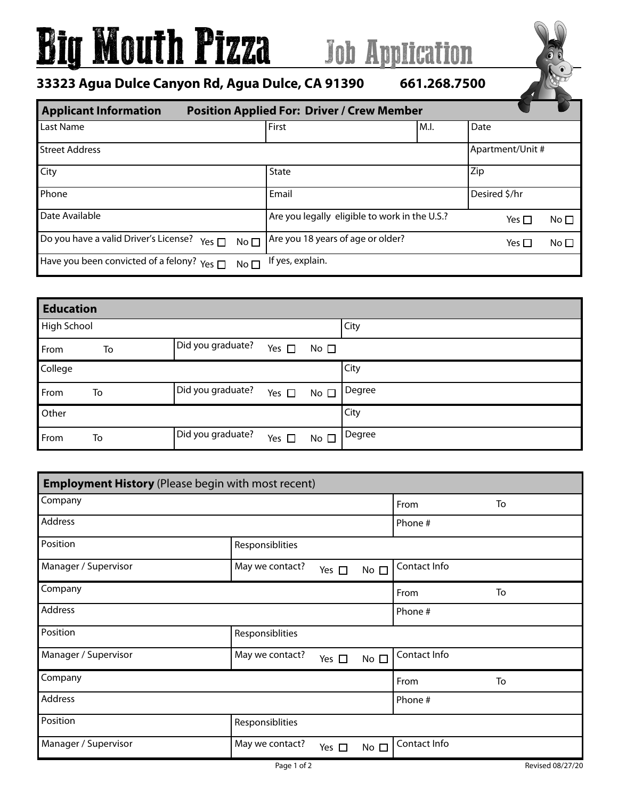## Big Mouth Pizza Job Application

**33323 Agua Dulce Canyon Rd, Agua Dulce, CA 91390 661.268.7500**

|  | 661.268.750 |  |
|--|-------------|--|
|--|-------------|--|

| <b>Applicant Information</b><br><b>Position Applied For: Driver / Crew Member</b> |                                  |                                               |      |                  |              |  |  |
|-----------------------------------------------------------------------------------|----------------------------------|-----------------------------------------------|------|------------------|--------------|--|--|
| Last Name                                                                         |                                  | First                                         | M.I. | Date             |              |  |  |
| <b>Street Address</b>                                                             |                                  |                                               |      | Apartment/Unit # |              |  |  |
| City                                                                              |                                  | <b>State</b>                                  |      | Zip              |              |  |  |
| Phone                                                                             |                                  | Email                                         |      | Desired \$/hr    |              |  |  |
| Date Available                                                                    |                                  | Are you legally eligible to work in the U.S.? |      | Yes $\Box$       | No $\square$ |  |  |
| Do you have a valid Driver's License?                                             | No <sub>1</sub><br>Yes $\square$ | Are you 18 years of age or older?             |      | Yes $\Box$       | No $\square$ |  |  |
| Have you been convicted of a felony?                                              | Yes $\Box$<br>No <sub>1</sub>    | If yes, explain.                              |      |                  |              |  |  |

| <b>Education</b> |    |                   |               |              |        |
|------------------|----|-------------------|---------------|--------------|--------|
| High School      |    |                   |               |              | City   |
| From             | To | Did you graduate? | Yes $\square$ | No $\square$ |        |
| College          |    |                   |               |              | City   |
| From             | To | Did you graduate? | Yes $\square$ | No $\square$ | Degree |
| Other            |    |                   |               |              | City   |
| From             | To | Did you graduate? | Yes $\square$ | No $\square$ | Degree |

| <b>Employment History</b> (Please begin with most recent) |                 |               |              |              |    |
|-----------------------------------------------------------|-----------------|---------------|--------------|--------------|----|
| Company                                                   |                 |               |              | From         | To |
| Address                                                   |                 |               |              | Phone #      |    |
| Position                                                  | Responsiblities |               |              |              |    |
| Manager / Supervisor                                      | May we contact? | Yes $\square$ | No $\square$ | Contact Info |    |
| Company                                                   |                 |               |              | From         | To |
| Address                                                   |                 |               |              | Phone #      |    |
| Position                                                  | Responsiblities |               |              |              |    |
| Manager / Supervisor                                      | May we contact? | Yes $\square$ | No $\square$ | Contact Info |    |
| Company                                                   |                 |               |              | From         | To |
| Address                                                   |                 |               |              | Phone #      |    |
| Position                                                  | Responsiblities |               |              |              |    |
| Manager / Supervisor                                      | May we contact? | Yes $\square$ | No $\square$ | Contact Info |    |